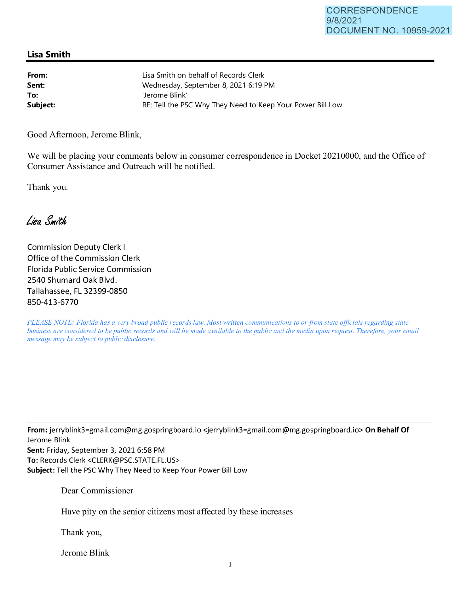## **Lisa Smith**

| From:    | Lisa Smith on behalf of Records Clerk                      |
|----------|------------------------------------------------------------|
| Sent:    | Wednesday, September 8, 2021 6:19 PM                       |
| To:      | 'Jerome Blink'                                             |
| Subject: | RE: Tell the PSC Why They Need to Keep Your Power Bill Low |

Good Afternoon, Jerome Blink,

We will be placing your comments below in consumer correspondence in Docket 20210000, and the Office of Consumer Assistance and Outreach will be notified.

Thank you.

Lisa Smith

Commission Deputy Clerk I Office of the Commission Clerk Florida Public Service Commission 2540 Shumard Oak Blvd. Tallahassee, FL 32399-0850 850-413-6770

*PLEASE NOTE: Florida has a very broad public records law. Most written communications to or from state officials regarding state business are considered to be public records and will be made available to the public and the media upon request. Therefore, your email message may be subject to public disclosure.* 

**From:** jerryblink3=gmai1.com@mg.gospringboard.io <jerryblink3=gmail.com@mg.gospringboard.io> **On Behalf Of**  Jerome Blink

**Sent:** Friday, September 3, 2021 6:58 PM **To:** Records Clerk <CLERK@PSC.STATE.FL.US> **Subject:** Tell the PSC Why They Need to Keep Your Power Bill Low

Dear Commissioner

Have pity on the senior citizens most affected by these increases

Thank you,

Jerome Blink